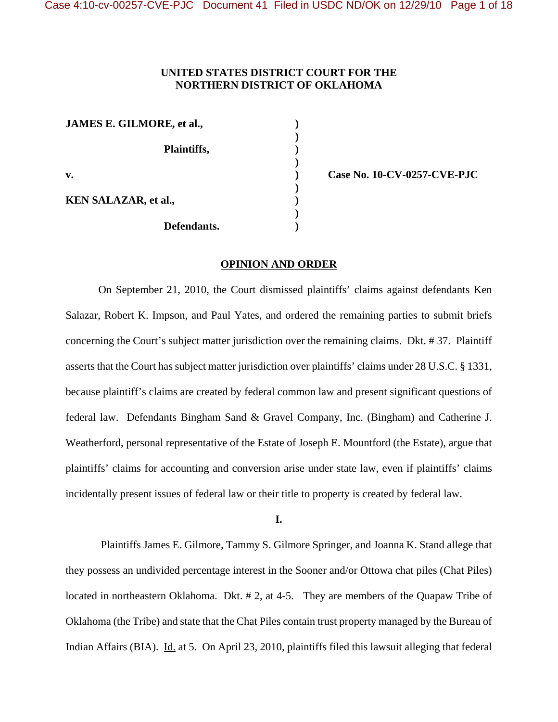## **UNITED STATES DISTRICT COURT FOR THE NORTHERN DISTRICT OF OKLAHOMA**

| JAMES E. GILMORE, et al.,   |  |
|-----------------------------|--|
| Plaintiffs,                 |  |
| $\mathbf{v}$ .              |  |
| <b>KEN SALAZAR, et al.,</b> |  |
| Defendants.                 |  |

**v. ) Case No. 10-CV-0257-CVE-PJC**

## **OPINION AND ORDER**

On September 21, 2010, the Court dismissed plaintiffs' claims against defendants Ken Salazar, Robert K. Impson, and Paul Yates, and ordered the remaining parties to submit briefs concerning the Court's subject matter jurisdiction over the remaining claims. Dkt. # 37. Plaintiff asserts that the Court has subject matter jurisdiction over plaintiffs' claims under 28 U.S.C. § 1331, because plaintiff's claims are created by federal common law and present significant questions of federal law. Defendants Bingham Sand & Gravel Company, Inc. (Bingham) and Catherine J. Weatherford, personal representative of the Estate of Joseph E. Mountford (the Estate), argue that plaintiffs' claims for accounting and conversion arise under state law, even if plaintiffs' claims incidentally present issues of federal law or their title to property is created by federal law.

**I.**

 Plaintiffs James E. Gilmore, Tammy S. Gilmore Springer, and Joanna K. Stand allege that they possess an undivided percentage interest in the Sooner and/or Ottowa chat piles (Chat Piles) located in northeastern Oklahoma. Dkt. # 2, at 4-5. They are members of the Quapaw Tribe of Oklahoma (the Tribe) and state that the Chat Piles contain trust property managed by the Bureau of Indian Affairs (BIA). Id. at 5. On April 23, 2010, plaintiffs filed this lawsuit alleging that federal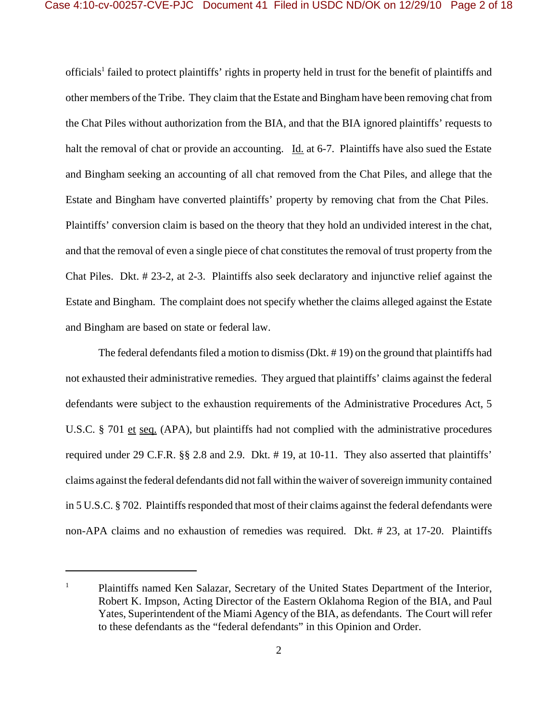officials<sup>1</sup> failed to protect plaintiffs' rights in property held in trust for the benefit of plaintiffs and other members of the Tribe. They claim that the Estate and Bingham have been removing chat from the Chat Piles without authorization from the BIA, and that the BIA ignored plaintiffs' requests to halt the removal of chat or provide an accounting. Id. at 6-7. Plaintiffs have also sued the Estate and Bingham seeking an accounting of all chat removed from the Chat Piles, and allege that the Estate and Bingham have converted plaintiffs' property by removing chat from the Chat Piles. Plaintiffs' conversion claim is based on the theory that they hold an undivided interest in the chat, and that the removal of even a single piece of chat constitutes the removal of trust property from the Chat Piles. Dkt. # 23-2, at 2-3. Plaintiffs also seek declaratory and injunctive relief against the Estate and Bingham. The complaint does not specify whether the claims alleged against the Estate and Bingham are based on state or federal law.

The federal defendants filed a motion to dismiss (Dkt. # 19) on the ground that plaintiffs had not exhausted their administrative remedies. They argued that plaintiffs' claims against the federal defendants were subject to the exhaustion requirements of the Administrative Procedures Act, 5 U.S.C. § 701 et seq. (APA), but plaintiffs had not complied with the administrative procedures required under 29 C.F.R. §§ 2.8 and 2.9. Dkt. # 19, at 10-11. They also asserted that plaintiffs' claims against the federal defendants did not fall within the waiver of sovereign immunity contained in 5 U.S.C. § 702. Plaintiffs responded that most of their claims against the federal defendants were non-APA claims and no exhaustion of remedies was required. Dkt. # 23, at 17-20. Plaintiffs

<sup>&</sup>lt;sup>1</sup> Plaintiffs named Ken Salazar, Secretary of the United States Department of the Interior, Robert K. Impson, Acting Director of the Eastern Oklahoma Region of the BIA, and Paul Yates, Superintendent of the Miami Agency of the BIA, as defendants. The Court will refer to these defendants as the "federal defendants" in this Opinion and Order.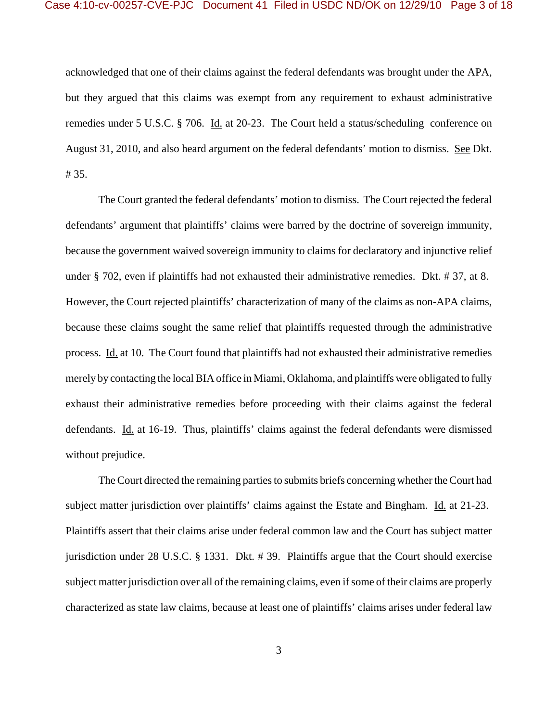acknowledged that one of their claims against the federal defendants was brought under the APA, but they argued that this claims was exempt from any requirement to exhaust administrative remedies under 5 U.S.C. § 706. Id. at 20-23. The Court held a status/scheduling conference on August 31, 2010, and also heard argument on the federal defendants' motion to dismiss. See Dkt. # 35.

The Court granted the federal defendants' motion to dismiss. The Court rejected the federal defendants' argument that plaintiffs' claims were barred by the doctrine of sovereign immunity, because the government waived sovereign immunity to claims for declaratory and injunctive relief under § 702, even if plaintiffs had not exhausted their administrative remedies. Dkt. # 37, at 8. However, the Court rejected plaintiffs' characterization of many of the claims as non-APA claims, because these claims sought the same relief that plaintiffs requested through the administrative process. Id. at 10. The Court found that plaintiffs had not exhausted their administrative remedies merely by contacting the local BIA office in Miami, Oklahoma, and plaintiffs were obligated to fully exhaust their administrative remedies before proceeding with their claims against the federal defendants. Id. at 16-19. Thus, plaintiffs' claims against the federal defendants were dismissed without prejudice.

The Court directed the remaining parties to submits briefs concerning whether the Court had subject matter jurisdiction over plaintiffs' claims against the Estate and Bingham. Id. at 21-23. Plaintiffs assert that their claims arise under federal common law and the Court has subject matter jurisdiction under 28 U.S.C. § 1331. Dkt. # 39. Plaintiffs argue that the Court should exercise subject matter jurisdiction over all of the remaining claims, even if some of their claims are properly characterized as state law claims, because at least one of plaintiffs' claims arises under federal law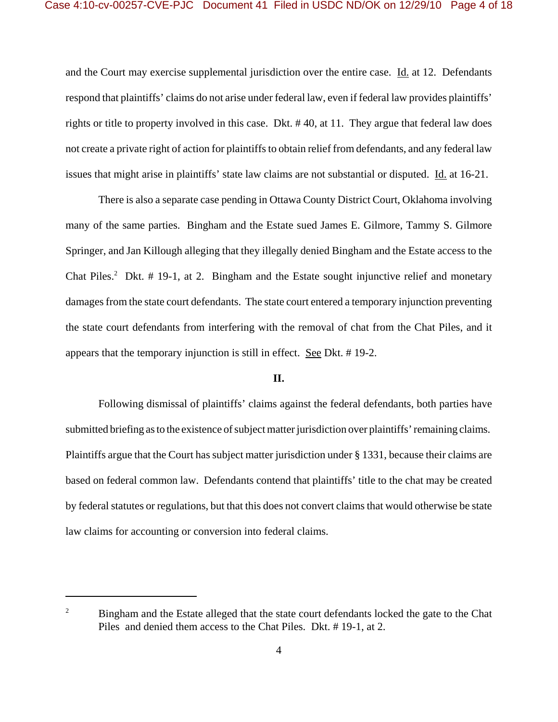and the Court may exercise supplemental jurisdiction over the entire case. Id. at 12. Defendants respond that plaintiffs' claims do not arise under federal law, even if federal law provides plaintiffs' rights or title to property involved in this case. Dkt. # 40, at 11. They argue that federal law does not create a private right of action for plaintiffs to obtain relief from defendants, and any federal law issues that might arise in plaintiffs' state law claims are not substantial or disputed. Id. at 16-21.

There is also a separate case pending in Ottawa County District Court, Oklahoma involving many of the same parties. Bingham and the Estate sued James E. Gilmore, Tammy S. Gilmore Springer, and Jan Killough alleging that they illegally denied Bingham and the Estate access to the Chat Piles.<sup>2</sup> Dkt.  $# 19-1$ , at 2. Bingham and the Estate sought injunctive relief and monetary damages from the state court defendants. The state court entered a temporary injunction preventing the state court defendants from interfering with the removal of chat from the Chat Piles, and it appears that the temporary injunction is still in effect. See Dkt. # 19-2.

## **II.**

Following dismissal of plaintiffs' claims against the federal defendants, both parties have submitted briefing as to the existence of subject matter jurisdiction over plaintiffs' remaining claims. Plaintiffs argue that the Court has subject matter jurisdiction under § 1331, because their claims are based on federal common law. Defendants contend that plaintiffs' title to the chat may be created by federal statutes or regulations, but that this does not convert claims that would otherwise be state law claims for accounting or conversion into federal claims.

 $2^2$  Bingham and the Estate alleged that the state court defendants locked the gate to the Chat Piles and denied them access to the Chat Piles. Dkt. # 19-1, at 2.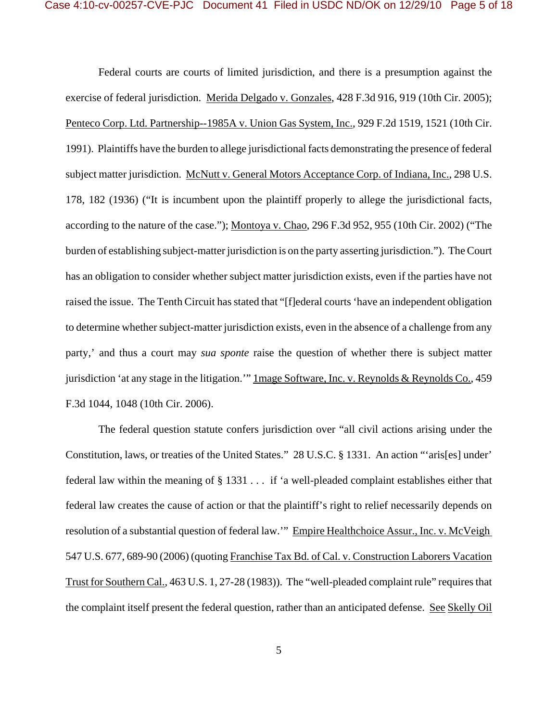Federal courts are courts of limited jurisdiction, and there is a presumption against the exercise of federal jurisdiction. Merida Delgado v. Gonzales, 428 F.3d 916, 919 (10th Cir. 2005); Penteco Corp. Ltd. Partnership--1985A v. Union Gas System, Inc., 929 F.2d 1519, 1521 (10th Cir. 1991). Plaintiffs have the burden to allege jurisdictional facts demonstrating the presence of federal subject matter jurisdiction. McNutt v. General Motors Acceptance Corp. of Indiana, Inc., 298 U.S. 178, 182 (1936) ("It is incumbent upon the plaintiff properly to allege the jurisdictional facts, according to the nature of the case."); Montoya v. Chao, 296 F.3d 952, 955 (10th Cir. 2002) ("The burden of establishing subject-matter jurisdiction is on the party asserting jurisdiction."). The Court has an obligation to consider whether subject matter jurisdiction exists, even if the parties have not raised the issue. The Tenth Circuit has stated that "[f]ederal courts 'have an independent obligation to determine whether subject-matter jurisdiction exists, even in the absence of a challenge from any party,' and thus a court may *sua sponte* raise the question of whether there is subject matter jurisdiction 'at any stage in the litigation.'" Image Software, Inc. v. Reynolds & Reynolds Co., 459 F.3d 1044, 1048 (10th Cir. 2006).

The federal question statute confers jurisdiction over "all civil actions arising under the Constitution, laws, or treaties of the United States." 28 U.S.C. § 1331. An action "'aris[es] under' federal law within the meaning of § 1331 . . . if 'a well-pleaded complaint establishes either that federal law creates the cause of action or that the plaintiff's right to relief necessarily depends on resolution of a substantial question of federal law." Empire Healthchoice Assur., Inc. v. McVeigh 547 U.S. 677, 689-90 (2006) (quoting Franchise Tax Bd. of Cal. v. Construction Laborers Vacation Trust for Southern Cal., 463 U.S. 1, 27-28 (1983)). The "well-pleaded complaint rule" requires that the complaint itself present the federal question, rather than an anticipated defense. See Skelly Oil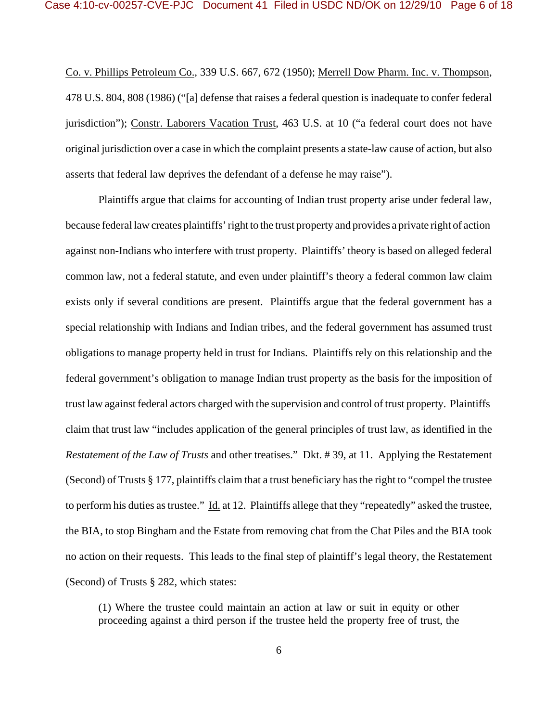Co. v. Phillips Petroleum Co., 339 U.S. 667, 672 (1950); Merrell Dow Pharm. Inc. v. Thompson, 478 U.S. 804, 808 (1986) ("[a] defense that raises a federal question is inadequate to confer federal jurisdiction"); Constr. Laborers Vacation Trust, 463 U.S. at 10 ("a federal court does not have original jurisdiction over a case in which the complaint presents a state-law cause of action, but also asserts that federal law deprives the defendant of a defense he may raise").

Plaintiffs argue that claims for accounting of Indian trust property arise under federal law, because federal law creates plaintiffs' right to the trust property and provides a private right of action against non-Indians who interfere with trust property. Plaintiffs' theory is based on alleged federal common law, not a federal statute, and even under plaintiff's theory a federal common law claim exists only if several conditions are present. Plaintiffs argue that the federal government has a special relationship with Indians and Indian tribes, and the federal government has assumed trust obligations to manage property held in trust for Indians. Plaintiffs rely on this relationship and the federal government's obligation to manage Indian trust property as the basis for the imposition of trust law against federal actors charged with the supervision and control of trust property. Plaintiffs claim that trust law "includes application of the general principles of trust law, as identified in the *Restatement of the Law of Trusts* and other treatises." Dkt. # 39, at 11. Applying the Restatement (Second) of Trusts § 177, plaintiffs claim that a trust beneficiary has the right to "compel the trustee to perform his duties as trustee." Id. at 12. Plaintiffs allege that they "repeatedly" asked the trustee, the BIA, to stop Bingham and the Estate from removing chat from the Chat Piles and the BIA took no action on their requests. This leads to the final step of plaintiff's legal theory, the Restatement (Second) of Trusts § 282, which states:

(1) Where the trustee could maintain an action at law or suit in equity or other proceeding against a third person if the trustee held the property free of trust, the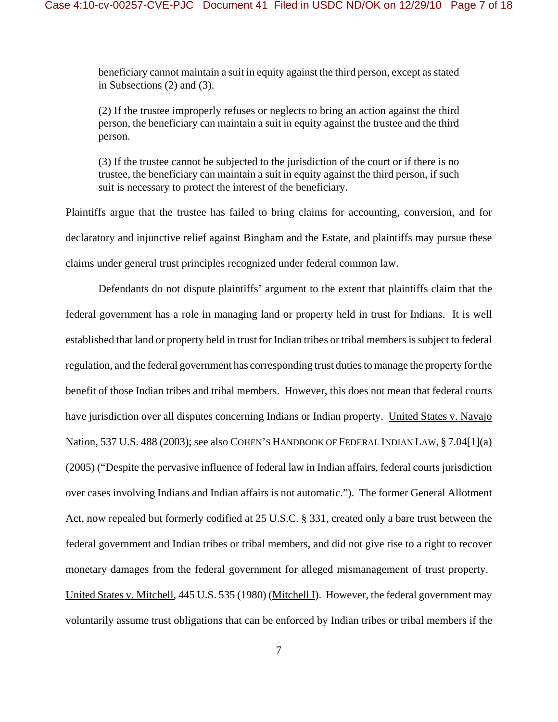beneficiary cannot maintain a suit in equity against the third person, except as stated in Subsections (2) and (3).

(2) If the trustee improperly refuses or neglects to bring an action against the third person, the beneficiary can maintain a suit in equity against the trustee and the third person.

(3) If the trustee cannot be subjected to the jurisdiction of the court or if there is no trustee, the beneficiary can maintain a suit in equity against the third person, if such suit is necessary to protect the interest of the beneficiary.

Plaintiffs argue that the trustee has failed to bring claims for accounting, conversion, and for declaratory and injunctive relief against Bingham and the Estate, and plaintiffs may pursue these claims under general trust principles recognized under federal common law.

Defendants do not dispute plaintiffs' argument to the extent that plaintiffs claim that the federal government has a role in managing land or property held in trust for Indians. It is well established that land or property held in trust for Indian tribes or tribal members is subject to federal regulation, and the federal government has corresponding trust duties to manage the property for the benefit of those Indian tribes and tribal members. However, this does not mean that federal courts have jurisdiction over all disputes concerning Indians or Indian property. United States v. Navajo Nation, 537 U.S. 488 (2003); see also COHEN'S HANDBOOK OF FEDERAL INDIAN LAW, § 7.04[1](a) (2005) ("Despite the pervasive influence of federal law in Indian affairs, federal courts jurisdiction over cases involving Indians and Indian affairs is not automatic."). The former General Allotment Act, now repealed but formerly codified at 25 U.S.C. § 331, created only a bare trust between the federal government and Indian tribes or tribal members, and did not give rise to a right to recover monetary damages from the federal government for alleged mismanagement of trust property. United States v. Mitchell, 445 U.S. 535 (1980) (Mitchell I). However, the federal government may voluntarily assume trust obligations that can be enforced by Indian tribes or tribal members if the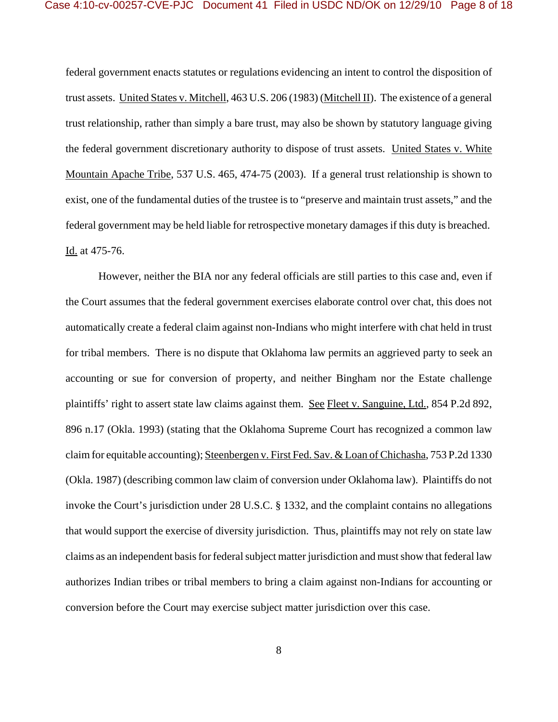federal government enacts statutes or regulations evidencing an intent to control the disposition of trust assets. United States v. Mitchell, 463 U.S. 206 (1983) (Mitchell II). The existence of a general trust relationship, rather than simply a bare trust, may also be shown by statutory language giving the federal government discretionary authority to dispose of trust assets. United States v. White Mountain Apache Tribe, 537 U.S. 465, 474-75 (2003). If a general trust relationship is shown to exist, one of the fundamental duties of the trustee is to "preserve and maintain trust assets," and the federal government may be held liable for retrospective monetary damages if this duty is breached. Id. at 475-76.

However, neither the BIA nor any federal officials are still parties to this case and, even if the Court assumes that the federal government exercises elaborate control over chat, this does not automatically create a federal claim against non-Indians who might interfere with chat held in trust for tribal members. There is no dispute that Oklahoma law permits an aggrieved party to seek an accounting or sue for conversion of property, and neither Bingham nor the Estate challenge plaintiffs' right to assert state law claims against them. See Fleet v. Sanguine, Ltd., 854 P.2d 892, 896 n.17 (Okla. 1993) (stating that the Oklahoma Supreme Court has recognized a common law claim for equitable accounting); Steenbergen v. First Fed. Sav. & Loan of Chichasha, 753 P.2d 1330 (Okla. 1987) (describing common law claim of conversion under Oklahoma law). Plaintiffs do not invoke the Court's jurisdiction under 28 U.S.C. § 1332, and the complaint contains no allegations that would support the exercise of diversity jurisdiction. Thus, plaintiffs may not rely on state law claims as an independent basis for federal subject matter jurisdiction and must show that federal law authorizes Indian tribes or tribal members to bring a claim against non-Indians for accounting or conversion before the Court may exercise subject matter jurisdiction over this case.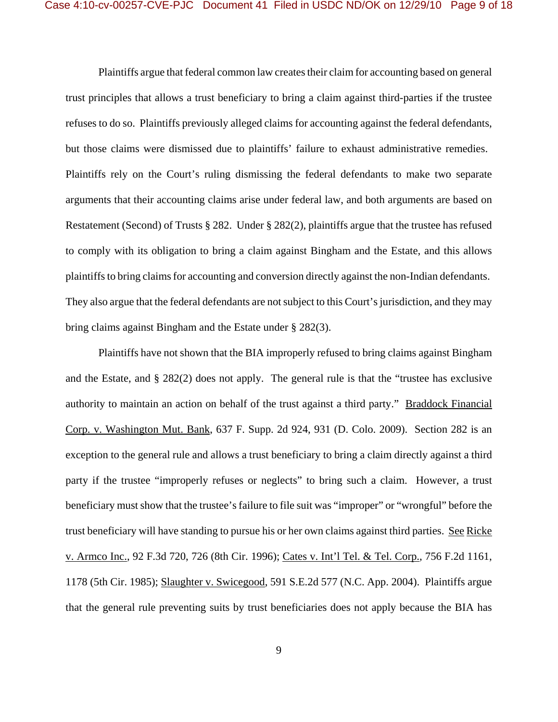Plaintiffs argue that federal common law creates their claim for accounting based on general trust principles that allows a trust beneficiary to bring a claim against third-parties if the trustee refuses to do so. Plaintiffs previously alleged claims for accounting against the federal defendants, but those claims were dismissed due to plaintiffs' failure to exhaust administrative remedies. Plaintiffs rely on the Court's ruling dismissing the federal defendants to make two separate arguments that their accounting claims arise under federal law, and both arguments are based on Restatement (Second) of Trusts § 282. Under § 282(2), plaintiffs argue that the trustee has refused to comply with its obligation to bring a claim against Bingham and the Estate, and this allows plaintiffs to bring claims for accounting and conversion directly against the non-Indian defendants. They also argue that the federal defendants are not subject to this Court's jurisdiction, and they may bring claims against Bingham and the Estate under § 282(3).

Plaintiffs have not shown that the BIA improperly refused to bring claims against Bingham and the Estate, and § 282(2) does not apply. The general rule is that the "trustee has exclusive authority to maintain an action on behalf of the trust against a third party." Braddock Financial Corp. v. Washington Mut. Bank, 637 F. Supp. 2d 924, 931 (D. Colo. 2009). Section 282 is an exception to the general rule and allows a trust beneficiary to bring a claim directly against a third party if the trustee "improperly refuses or neglects" to bring such a claim. However, a trust beneficiary must show that the trustee's failure to file suit was "improper" or "wrongful" before the trust beneficiary will have standing to pursue his or her own claims against third parties. See Ricke v. Armco Inc., 92 F.3d 720, 726 (8th Cir. 1996); Cates v. Int'l Tel. & Tel. Corp., 756 F.2d 1161, 1178 (5th Cir. 1985); Slaughter v. Swicegood, 591 S.E.2d 577 (N.C. App. 2004). Plaintiffs argue that the general rule preventing suits by trust beneficiaries does not apply because the BIA has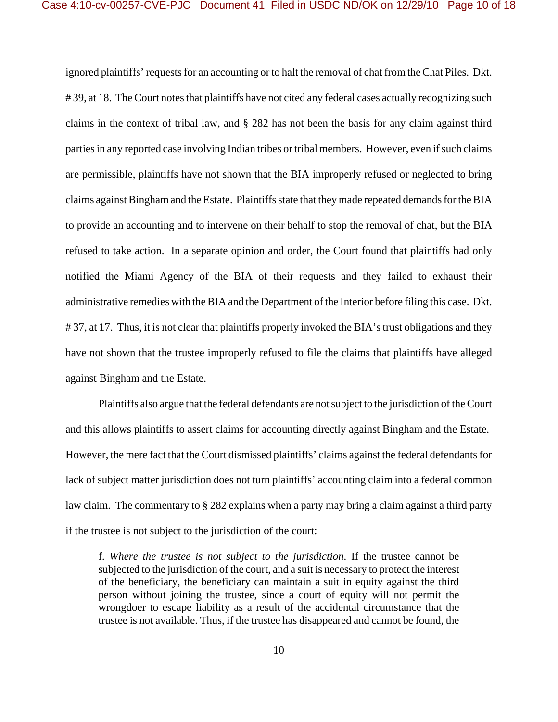ignored plaintiffs' requests for an accounting or to halt the removal of chat from the Chat Piles. Dkt. #39, at 18. The Court notes that plaintiffs have not cited any federal cases actually recognizing such claims in the context of tribal law, and § 282 has not been the basis for any claim against third parties in any reported case involving Indian tribes or tribal members. However, even if such claims are permissible, plaintiffs have not shown that the BIA improperly refused or neglected to bring claims against Bingham and the Estate. Plaintiffs state that they made repeated demands for the BIA to provide an accounting and to intervene on their behalf to stop the removal of chat, but the BIA refused to take action. In a separate opinion and order, the Court found that plaintiffs had only notified the Miami Agency of the BIA of their requests and they failed to exhaust their administrative remedies with the BIA and the Department of the Interior before filing this case. Dkt. #37, at 17. Thus, it is not clear that plaintiffs properly invoked the BIA's trust obligations and they have not shown that the trustee improperly refused to file the claims that plaintiffs have alleged against Bingham and the Estate.

Plaintiffs also argue that the federal defendants are not subject to the jurisdiction of the Court and this allows plaintiffs to assert claims for accounting directly against Bingham and the Estate. However, the mere fact that the Court dismissed plaintiffs' claims against the federal defendants for lack of subject matter jurisdiction does not turn plaintiffs' accounting claim into a federal common law claim. The commentary to § 282 explains when a party may bring a claim against a third party if the trustee is not subject to the jurisdiction of the court:

f. *Where the trustee is not subject to the jurisdiction*. If the trustee cannot be subjected to the jurisdiction of the court, and a suit is necessary to protect the interest of the beneficiary, the beneficiary can maintain a suit in equity against the third person without joining the trustee, since a court of equity will not permit the wrongdoer to escape liability as a result of the accidental circumstance that the trustee is not available. Thus, if the trustee has disappeared and cannot be found, the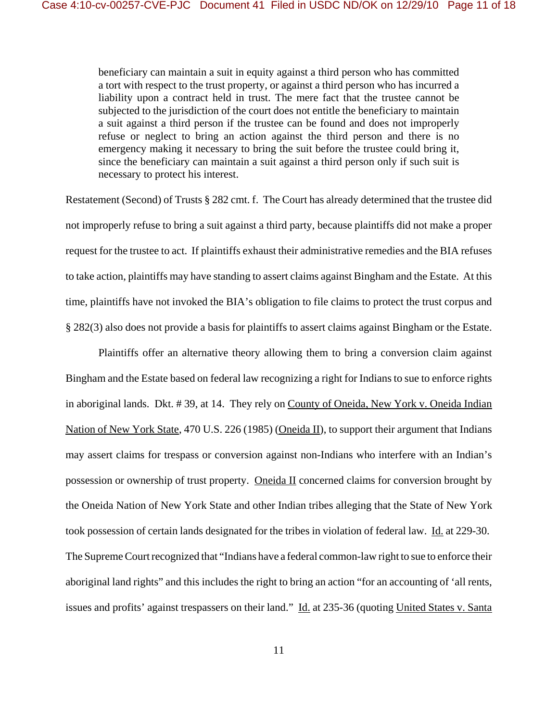beneficiary can maintain a suit in equity against a third person who has committed a tort with respect to the trust property, or against a third person who has incurred a liability upon a contract held in trust. The mere fact that the trustee cannot be subjected to the jurisdiction of the court does not entitle the beneficiary to maintain a suit against a third person if the trustee can be found and does not improperly refuse or neglect to bring an action against the third person and there is no emergency making it necessary to bring the suit before the trustee could bring it, since the beneficiary can maintain a suit against a third person only if such suit is necessary to protect his interest.

Restatement (Second) of Trusts § 282 cmt. f. The Court has already determined that the trustee did not improperly refuse to bring a suit against a third party, because plaintiffs did not make a proper request for the trustee to act. If plaintiffs exhaust their administrative remedies and the BIA refuses to take action, plaintiffs may have standing to assert claims against Bingham and the Estate. At this time, plaintiffs have not invoked the BIA's obligation to file claims to protect the trust corpus and § 282(3) also does not provide a basis for plaintiffs to assert claims against Bingham or the Estate.

Plaintiffs offer an alternative theory allowing them to bring a conversion claim against Bingham and the Estate based on federal law recognizing a right for Indians to sue to enforce rights in aboriginal lands. Dkt. #39, at 14. They rely on County of Oneida, New York v. Oneida Indian Nation of New York State, 470 U.S. 226 (1985) (Oneida II), to support their argument that Indians may assert claims for trespass or conversion against non-Indians who interfere with an Indian's possession or ownership of trust property. Oneida II concerned claims for conversion brought by the Oneida Nation of New York State and other Indian tribes alleging that the State of New York took possession of certain lands designated for the tribes in violation of federal law. Id. at 229-30. The Supreme Court recognized that "Indians have a federal common-law right to sue to enforce their aboriginal land rights" and this includes the right to bring an action "for an accounting of 'all rents, issues and profits' against trespassers on their land." Id. at 235-36 (quoting United States v. Santa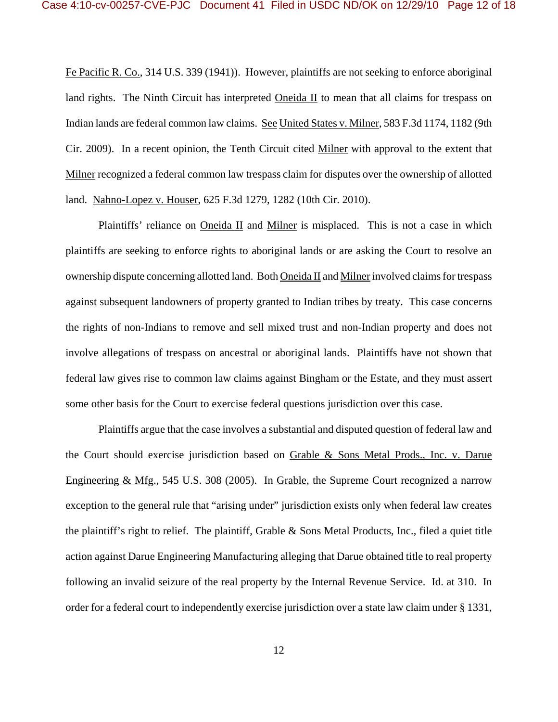Fe Pacific R. Co., 314 U.S. 339 (1941)). However, plaintiffs are not seeking to enforce aboriginal land rights. The Ninth Circuit has interpreted Oneida II to mean that all claims for trespass on Indian lands are federal common law claims. See United States v. Milner, 583 F.3d 1174, 1182 (9th Cir. 2009). In a recent opinion, the Tenth Circuit cited Milner with approval to the extent that Milner recognized a federal common law trespass claim for disputes over the ownership of allotted land. Nahno-Lopez v. Houser, 625 F.3d 1279, 1282 (10th Cir. 2010).

Plaintiffs' reliance on Oneida II and Milner is misplaced. This is not a case in which plaintiffs are seeking to enforce rights to aboriginal lands or are asking the Court to resolve an ownership dispute concerning allotted land. Both Oneida II and Milner involved claims for trespass against subsequent landowners of property granted to Indian tribes by treaty. This case concerns the rights of non-Indians to remove and sell mixed trust and non-Indian property and does not involve allegations of trespass on ancestral or aboriginal lands. Plaintiffs have not shown that federal law gives rise to common law claims against Bingham or the Estate, and they must assert some other basis for the Court to exercise federal questions jurisdiction over this case.

Plaintiffs argue that the case involves a substantial and disputed question of federal law and the Court should exercise jurisdiction based on Grable & Sons Metal Prods., Inc. v. Darue Engineering & Mfg., 545 U.S. 308 (2005). In Grable, the Supreme Court recognized a narrow exception to the general rule that "arising under" jurisdiction exists only when federal law creates the plaintiff's right to relief. The plaintiff, Grable & Sons Metal Products, Inc., filed a quiet title action against Darue Engineering Manufacturing alleging that Darue obtained title to real property following an invalid seizure of the real property by the Internal Revenue Service. Id. at 310. In order for a federal court to independently exercise jurisdiction over a state law claim under § 1331,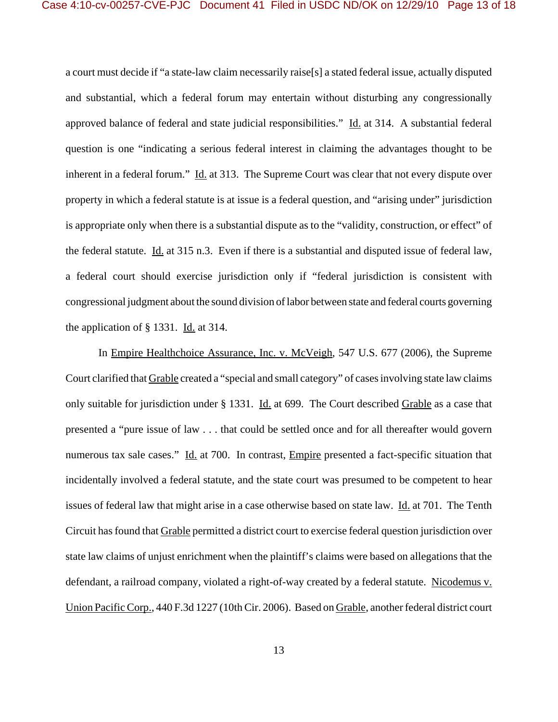a court must decide if "a state-law claim necessarily raise[s] a stated federal issue, actually disputed and substantial, which a federal forum may entertain without disturbing any congressionally approved balance of federal and state judicial responsibilities." Id. at 314. A substantial federal question is one "indicating a serious federal interest in claiming the advantages thought to be inherent in a federal forum." Id. at 313. The Supreme Court was clear that not every dispute over property in which a federal statute is at issue is a federal question, and "arising under" jurisdiction is appropriate only when there is a substantial dispute as to the "validity, construction, or effect" of the federal statute. Id. at 315 n.3. Even if there is a substantial and disputed issue of federal law, a federal court should exercise jurisdiction only if "federal jurisdiction is consistent with congressional judgment about the sound division of labor between state and federal courts governing the application of § 1331. Id. at 314.

In Empire Healthchoice Assurance, Inc. v. McVeigh, 547 U.S. 677 (2006), the Supreme Court clarified that Grable created a "special and small category" of cases involving state law claims only suitable for jurisdiction under § 1331. Id. at 699. The Court described Grable as a case that presented a "pure issue of law . . . that could be settled once and for all thereafter would govern numerous tax sale cases." Id. at 700. In contrast, *Empire* presented a fact-specific situation that incidentally involved a federal statute, and the state court was presumed to be competent to hear issues of federal law that might arise in a case otherwise based on state law. Id. at 701. The Tenth Circuit has found that Grable permitted a district court to exercise federal question jurisdiction over state law claims of unjust enrichment when the plaintiff's claims were based on allegations that the defendant, a railroad company, violated a right-of-way created by a federal statute. Nicodemus v. Union Pacific Corp., 440 F.3d 1227 (10th Cir. 2006). Based on Grable, another federal district court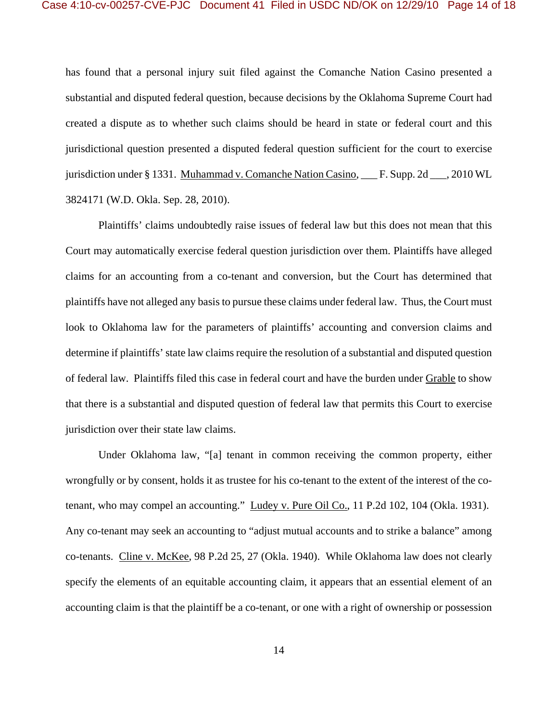has found that a personal injury suit filed against the Comanche Nation Casino presented a substantial and disputed federal question, because decisions by the Oklahoma Supreme Court had created a dispute as to whether such claims should be heard in state or federal court and this jurisdictional question presented a disputed federal question sufficient for the court to exercise jurisdiction under § 1331. Muhammad v. Comanche Nation Casino, \_\_\_ F. Supp. 2d \_\_\_, 2010 WL 3824171 (W.D. Okla. Sep. 28, 2010).

Plaintiffs' claims undoubtedly raise issues of federal law but this does not mean that this Court may automatically exercise federal question jurisdiction over them. Plaintiffs have alleged claims for an accounting from a co-tenant and conversion, but the Court has determined that plaintiffs have not alleged any basis to pursue these claims under federal law. Thus, the Court must look to Oklahoma law for the parameters of plaintiffs' accounting and conversion claims and determine if plaintiffs' state law claims require the resolution of a substantial and disputed question of federal law. Plaintiffs filed this case in federal court and have the burden under Grable to show that there is a substantial and disputed question of federal law that permits this Court to exercise jurisdiction over their state law claims.

Under Oklahoma law, "[a] tenant in common receiving the common property, either wrongfully or by consent, holds it as trustee for his co-tenant to the extent of the interest of the cotenant, who may compel an accounting." Ludey v. Pure Oil Co., 11 P.2d 102, 104 (Okla. 1931). Any co-tenant may seek an accounting to "adjust mutual accounts and to strike a balance" among co-tenants. Cline v. McKee, 98 P.2d 25, 27 (Okla. 1940). While Oklahoma law does not clearly specify the elements of an equitable accounting claim, it appears that an essential element of an accounting claim is that the plaintiff be a co-tenant, or one with a right of ownership or possession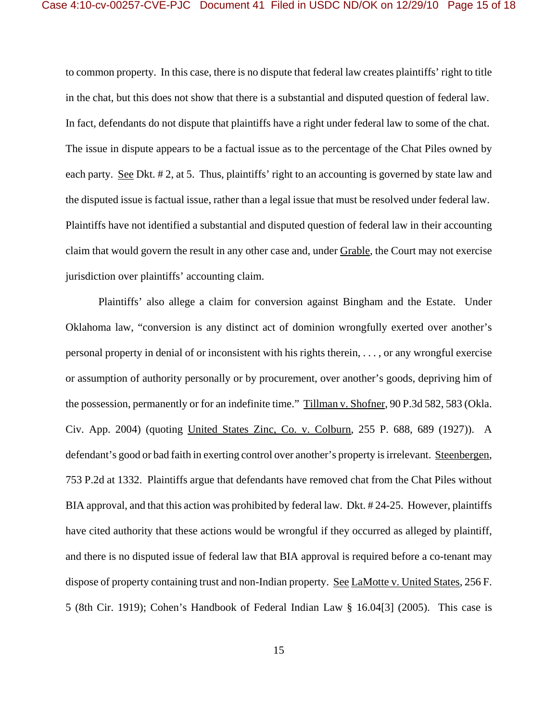to common property. In this case, there is no dispute that federal law creates plaintiffs' right to title in the chat, but this does not show that there is a substantial and disputed question of federal law. In fact, defendants do not dispute that plaintiffs have a right under federal law to some of the chat. The issue in dispute appears to be a factual issue as to the percentage of the Chat Piles owned by each party. See Dkt. #2, at 5. Thus, plaintiffs' right to an accounting is governed by state law and the disputed issue is factual issue, rather than a legal issue that must be resolved under federal law. Plaintiffs have not identified a substantial and disputed question of federal law in their accounting claim that would govern the result in any other case and, under Grable, the Court may not exercise jurisdiction over plaintiffs' accounting claim.

Plaintiffs' also allege a claim for conversion against Bingham and the Estate. Under Oklahoma law, "conversion is any distinct act of dominion wrongfully exerted over another's personal property in denial of or inconsistent with his rights therein, . . . , or any wrongful exercise or assumption of authority personally or by procurement, over another's goods, depriving him of the possession, permanently or for an indefinite time." Tillman v. Shofner, 90 P.3d 582, 583 (Okla. Civ. App. 2004) (quoting United States Zinc, Co. v. Colburn, 255 P. 688, 689 (1927)). A defendant's good or bad faith in exerting control over another's property is irrelevant. Steenbergen, 753 P.2d at 1332. Plaintiffs argue that defendants have removed chat from the Chat Piles without BIA approval, and that this action was prohibited by federal law. Dkt. # 24-25. However, plaintiffs have cited authority that these actions would be wrongful if they occurred as alleged by plaintiff, and there is no disputed issue of federal law that BIA approval is required before a co-tenant may dispose of property containing trust and non-Indian property. See LaMotte v. United States, 256 F. 5 (8th Cir. 1919); Cohen's Handbook of Federal Indian Law § 16.04[3] (2005). This case is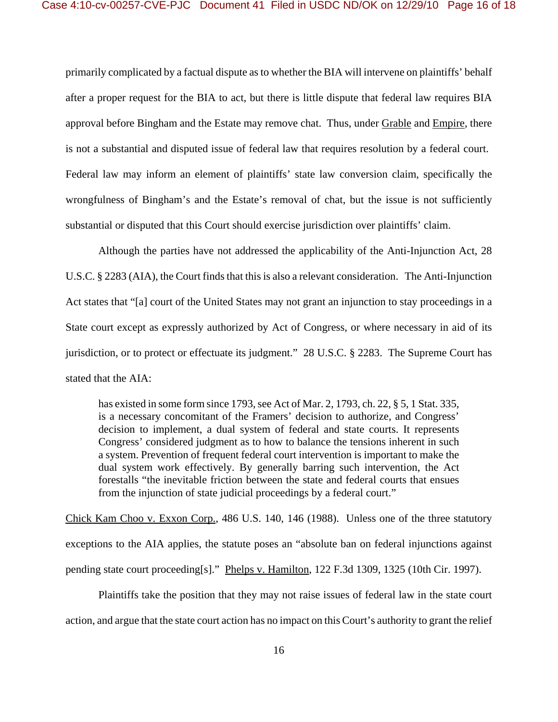primarily complicated by a factual dispute as to whether the BIA will intervene on plaintiffs' behalf after a proper request for the BIA to act, but there is little dispute that federal law requires BIA approval before Bingham and the Estate may remove chat. Thus, under Grable and Empire, there is not a substantial and disputed issue of federal law that requires resolution by a federal court. Federal law may inform an element of plaintiffs' state law conversion claim, specifically the wrongfulness of Bingham's and the Estate's removal of chat, but the issue is not sufficiently substantial or disputed that this Court should exercise jurisdiction over plaintiffs' claim.

Although the parties have not addressed the applicability of the Anti-Injunction Act, 28 U.S.C. § 2283 (AIA), the Court finds that this is also a relevant consideration. The Anti-Injunction Act states that "[a] court of the United States may not grant an injunction to stay proceedings in a State court except as expressly authorized by Act of Congress, or where necessary in aid of its jurisdiction, or to protect or effectuate its judgment." 28 U.S.C. § 2283. The Supreme Court has stated that the AIA:

has existed in some form since 1793, see Act of Mar. 2, 1793, ch. 22, § 5, 1 Stat. 335, is a necessary concomitant of the Framers' decision to authorize, and Congress' decision to implement, a dual system of federal and state courts. It represents Congress' considered judgment as to how to balance the tensions inherent in such a system. Prevention of frequent federal court intervention is important to make the dual system work effectively. By generally barring such intervention, the Act forestalls "the inevitable friction between the state and federal courts that ensues from the injunction of state judicial proceedings by a federal court."

Chick Kam Choo v. Exxon Corp., 486 U.S. 140, 146 (1988). Unless one of the three statutory exceptions to the AIA applies, the statute poses an "absolute ban on federal injunctions against pending state court proceeding[s]." Phelps v. Hamilton, 122 F.3d 1309, 1325 (10th Cir. 1997).

Plaintiffs take the position that they may not raise issues of federal law in the state court action, and argue that the state court action has no impact on this Court's authority to grant the relief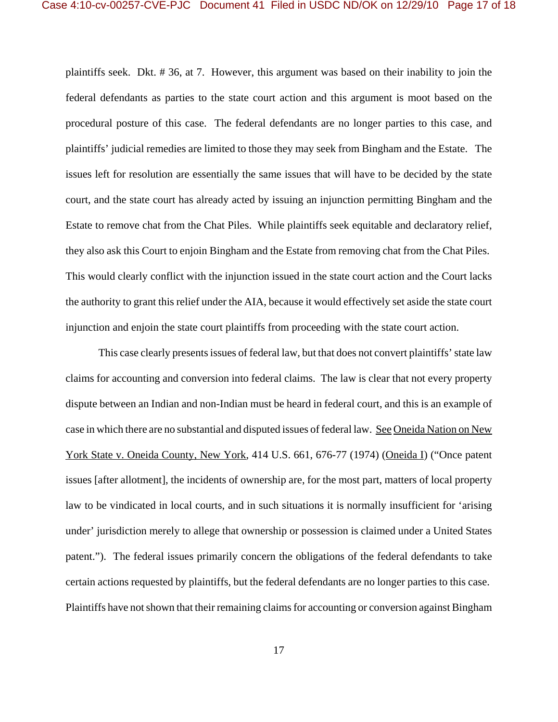plaintiffs seek. Dkt. # 36, at 7. However, this argument was based on their inability to join the federal defendants as parties to the state court action and this argument is moot based on the procedural posture of this case. The federal defendants are no longer parties to this case, and plaintiffs' judicial remedies are limited to those they may seek from Bingham and the Estate. The issues left for resolution are essentially the same issues that will have to be decided by the state court, and the state court has already acted by issuing an injunction permitting Bingham and the Estate to remove chat from the Chat Piles. While plaintiffs seek equitable and declaratory relief, they also ask this Court to enjoin Bingham and the Estate from removing chat from the Chat Piles. This would clearly conflict with the injunction issued in the state court action and the Court lacks the authority to grant this relief under the AIA, because it would effectively set aside the state court injunction and enjoin the state court plaintiffs from proceeding with the state court action.

This case clearly presents issues of federal law, but that does not convert plaintiffs' state law claims for accounting and conversion into federal claims. The law is clear that not every property dispute between an Indian and non-Indian must be heard in federal court, and this is an example of case in which there are no substantial and disputed issues of federal law. See Oneida Nation on New York State v. Oneida County, New York, 414 U.S. 661, 676-77 (1974) (Oneida I) ("Once patent issues [after allotment], the incidents of ownership are, for the most part, matters of local property law to be vindicated in local courts, and in such situations it is normally insufficient for 'arising under' jurisdiction merely to allege that ownership or possession is claimed under a United States patent."). The federal issues primarily concern the obligations of the federal defendants to take certain actions requested by plaintiffs, but the federal defendants are no longer parties to this case. Plaintiffs have not shown that their remaining claims for accounting or conversion against Bingham